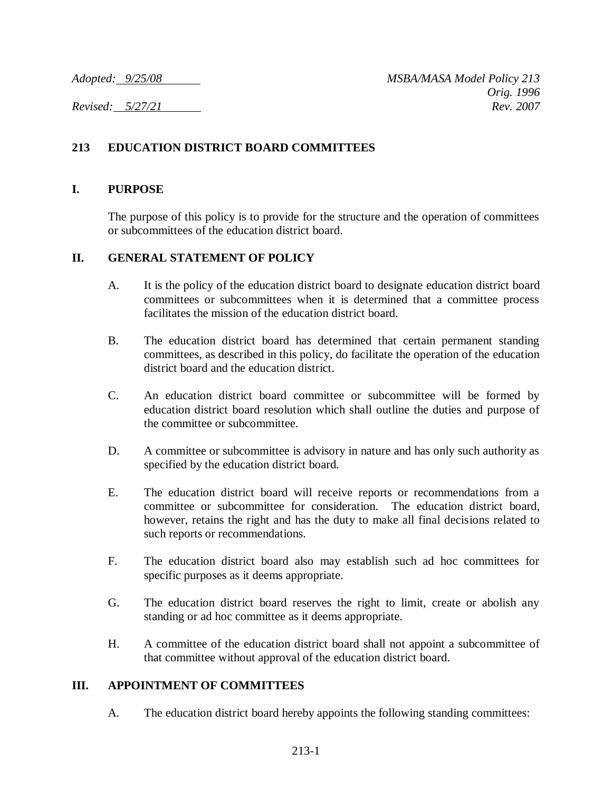# **213 EDUCATION DISTRICT BOARD COMMITTEES**

### **I. PURPOSE**

The purpose of this policy is to provide for the structure and the operation of committees or subcommittees of the education district board.

### **II. GENERAL STATEMENT OF POLICY**

- A. It is the policy of the education district board to designate education district board committees or subcommittees when it is determined that a committee process facilitates the mission of the education district board.
- B. The education district board has determined that certain permanent standing committees, as described in this policy, do facilitate the operation of the education district board and the education district.
- C. An education district board committee or subcommittee will be formed by education district board resolution which shall outline the duties and purpose of the committee or subcommittee.
- D. A committee or subcommittee is advisory in nature and has only such authority as specified by the education district board.
- E. The education district board will receive reports or recommendations from a committee or subcommittee for consideration. The education district board, however, retains the right and has the duty to make all final decisions related to such reports or recommendations.
- F. The education district board also may establish such ad hoc committees for specific purposes as it deems appropriate.
- G. The education district board reserves the right to limit, create or abolish any standing or ad hoc committee as it deems appropriate.
- H. A committee of the education district board shall not appoint a subcommittee of that committee without approval of the education district board.

### **III. APPOINTMENT OF COMMITTEES**

A. The education district board hereby appoints the following standing committees: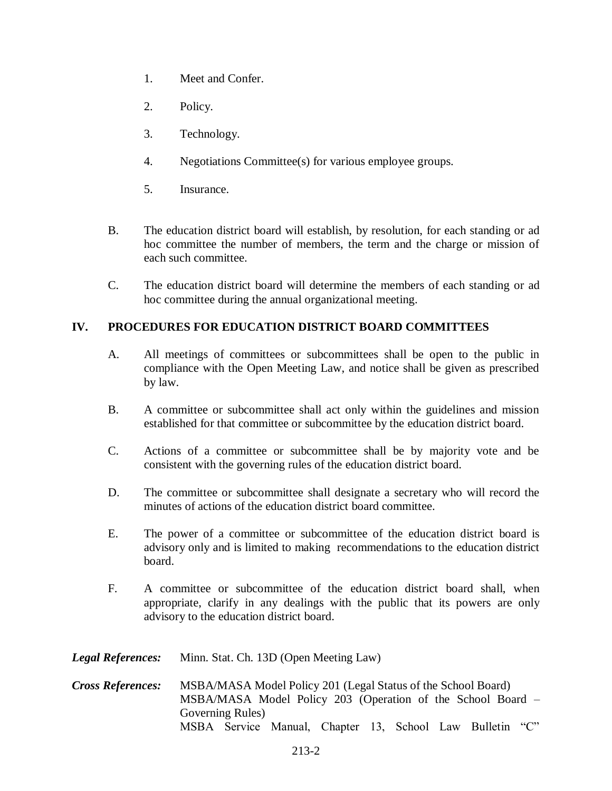- 1. Meet and Confer.
- 2. Policy.
- 3. Technology.
- 4. Negotiations Committee(s) for various employee groups.
- 5. Insurance.
- B. The education district board will establish, by resolution, for each standing or ad hoc committee the number of members, the term and the charge or mission of each such committee.
- C. The education district board will determine the members of each standing or ad hoc committee during the annual organizational meeting.

## **IV. PROCEDURES FOR EDUCATION DISTRICT BOARD COMMITTEES**

- A. All meetings of committees or subcommittees shall be open to the public in compliance with the Open Meeting Law, and notice shall be given as prescribed by law.
- B. A committee or subcommittee shall act only within the guidelines and mission established for that committee or subcommittee by the education district board.
- C. Actions of a committee or subcommittee shall be by majority vote and be consistent with the governing rules of the education district board.
- D. The committee or subcommittee shall designate a secretary who will record the minutes of actions of the education district board committee.
- E. The power of a committee or subcommittee of the education district board is advisory only and is limited to making recommendations to the education district board.
- F. A committee or subcommittee of the education district board shall, when appropriate, clarify in any dealings with the public that its powers are only advisory to the education district board.
- *Legal References:* Minn. Stat. Ch. 13D (Open Meeting Law)
- *Cross References:* MSBA/MASA Model Policy 201 (Legal Status of the School Board) MSBA/MASA Model Policy 203 (Operation of the School Board – Governing Rules) MSBA Service Manual, Chapter 13, School Law Bulletin "C"